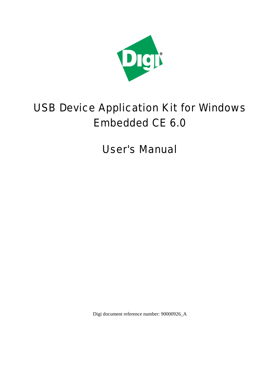

# USB Device Application Kit for Windows Embedded CE 6.0

User's Manual

Digi document reference number: 90000926\_A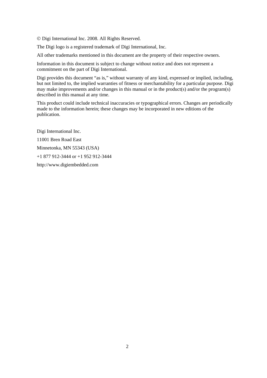© Digi International Inc. 2008. All Rights Reserved.

The Digi logo is a registered trademark of Digi International, Inc.

All other trademarks mentioned in this document are the property of their respective owners.

Information in this document is subject to change without notice and does not represent a commitment on the part of Digi International.

Digi provides this document "as is," without warranty of any kind, expressed or implied, including, but not limited to, the implied warranties of fitness or merchantability for a particular purpose. Digi may make improvements and/or changes in this manual or in the product(s) and/or the program(s) described in this manual at any time.

This product could include technical inaccuracies or typographical errors. Changes are periodically made to the information herein; these changes may be incorporated in new editions of the publication.

Digi International Inc. 11001 Bren Road East Minnetonka, MN 55343 (USA) +1 877 912-3444 or +1 952 912-3444 http://www.digiembedded.com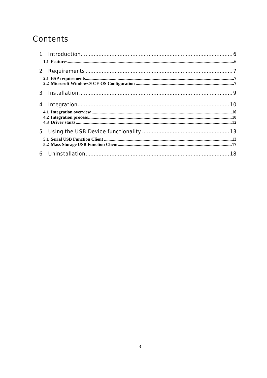# **Contents**

| $\mathbf 1$  |  |
|--------------|--|
|              |  |
| $\mathbf{2}$ |  |
|              |  |
| 3            |  |
| 4            |  |
|              |  |
|              |  |
|              |  |
| 5            |  |
|              |  |
|              |  |
| 6            |  |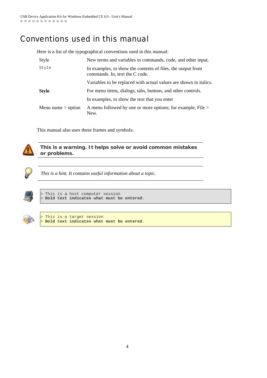# Conventions used in this manual

Here is a list of the typographical conventions used in this manual:

| Style                | New terms and variables in commands, code, and other input.                                   |
|----------------------|-----------------------------------------------------------------------------------------------|
| Style                | In examples, to show the contents of files, the output from<br>commands. In, text the C code. |
|                      | Variables to be replaced with actual values are shown in italics.                             |
| <b>Style</b>         | For menu items, dialogs, tabs, buttons, and other controls.                                   |
|                      | In examples, to show the text that you enter                                                  |
| Menu name $>$ option | A menu followed by one or more options; for example, File ><br>New.                           |

This manual also uses these frames and symbols:



**This is a warning. It helps solve or avoid common mistakes or problems.** 



*This is a hint. It contains useful information about a topic.* 



This is a host computer session > **Bold text indicates what must be entered**.



This is a target session > **Bold text indicates what must be entered**.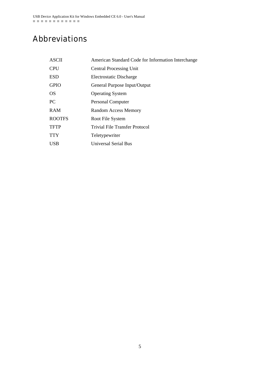# Abbreviations

| <b>ASCII</b>  | American Standard Code for Information Interchange |
|---------------|----------------------------------------------------|
| <b>CPU</b>    | <b>Central Processing Unit</b>                     |
| <b>ESD</b>    | Electrostatic Discharge                            |
| <b>GPIO</b>   | General Purpose Input/Output                       |
| <b>OS</b>     | <b>Operating System</b>                            |
| PC.           | <b>Personal Computer</b>                           |
| <b>RAM</b>    | <b>Random Access Memory</b>                        |
| <b>ROOTFS</b> | Root File System                                   |
| <b>TFTP</b>   | Trivial File Transfer Protocol                     |
| <b>TTY</b>    | Teletypewriter                                     |
| <b>USB</b>    | Universal Serial Bus                               |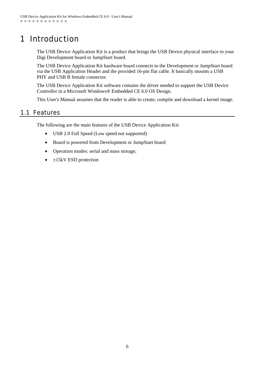# 1 Introduction

The USB Device Application Kit is a product that brings the USB Device physical interface to your Digi Development board or JumpStart board.

The USB Device Application Kit hardware board connects to the Development or JumpStart board via the USB Application Header and the provided 16-pin flat cable. It basically mounts a USB PHY and USB B female connector.

The USB Device Application Kit software contains the driver needed to support the USB Device Controller in a Microsoft Windows® Embedded CE 6.0 OS Design.

This User's Manual assumes that the reader is able to create, compile and download a kernel image.

### 1.1 Features

The following are the main features of the USB Device Application Kit:

- USB 2.0 Full Speed (Low speed not supported)
- Board is powered from Development or JumpStart board
- Operation modes: serial and mass storage,
- $\bullet$   $\pm$ 15kV ESD protection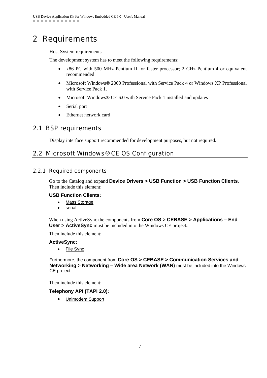# 2 Requirements

Host System requirements

The development system has to meet the following requirements:

- x86 PC with 500 MHz Pentium III or faster processor; 2 GHz Pentium 4 or equivalent recommended
- Microsoft Windows® 2000 Professional with Service Pack 4 or Windows XP Professional with Service Pack 1.
- Microsoft Windows® CE 6.0 with Service Pack 1 installed and updates
- Serial port
- Ethernet network card

# 2.1 BSP requirements

Display interface support recommended for development purposes, but not required.

# 2.2 Microsoft Windows® CE OS Configuration

### 2.2.1 Required components

Go to the Catalog and expand **Device Drivers > USB Function > USB Function Clients**. Then include this element:

#### **USB Function Clients:**

- Mass Storage
- serial

When using ActiveSync the components from **Core OS > CEBASE > Applications – End User > ActiveSync** must be included into the Windows CE project**.** 

Then include this element:

#### **ActiveSync:**

• File Sync

#### Furthermore, the component from **Core OS > CEBASE > Communication Services and Networking > Networking - Wide area Network (WAN)** must be included into the Windows CE project

Then include this element:

#### **Telephony API (TAPI 2.0):**

• Unimodem Support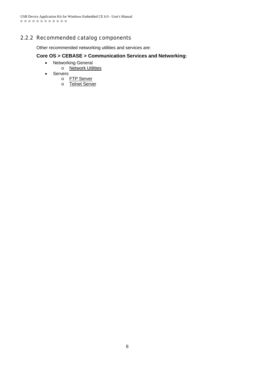### 2.2.2 Recommended catalog components

Other recommended networking utilities and services are:

#### **Core OS > CEBASE > Communication Services and Networking:**

- Networking General
	- o **Network Utilities**
- Servers
	- o FTP Server
	- o Telnet Server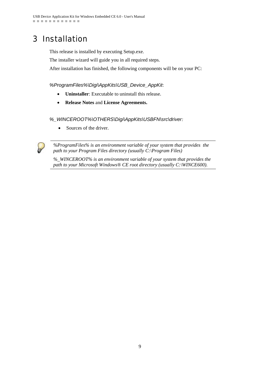# 3 Installation

This release is installed by executing Setup.exe.

The installer wizard will guide you in all required steps.

After installation has finished, the following components will be on your PC:

#### *%ProgramFiles%\Digi\AppKits\USB\_Device\_AppKit*:

- **Uninstaller**: Executable to uninstall this release.
- **Release Notes** and **License Agreements.**

#### *%\_WINCEROOT%\OTHERS\Digi\AppKits\USBFN\src\driver:*

• Sources of the driver.



*%ProgramFiles% is an environment variable of your system that provides the path to your Program Files directory (usually C:\Program Files)* 

*%\_WINCEROOT% is an environment variable of your system that provides the path to your Microsoft Windows® CE root directory (usually C:\WINCE600).*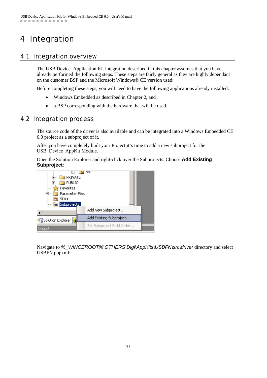# 4 Integration

# 4.1 Integration overview

The USB Device Application Kit integration described in this chapter assumes that you have already performed the following steps. These steps are fairly general as they are highly dependant on the customer BSP and the Microsoft Windows® CE version used:

Before completing these steps, you will need to have the following applications already installed:

- Windows Embedded as described in Chapter 2, and
- a BSP corresponding with the hardware that will be used.

### 4.2 Integration process

The source code of the driver is also available and can be integrated into a Windows Embedded CE 6.0 project as a subproject of it.

After you have completely built your Project,it's time to add a new subproject for the USB\_Device\_AppKit Module.

Open the Solution Explorer and right-click over the Subprojects. Choose **Add Existing Subproject**:



Navigate to *%\_WINCEROOT%\OTHERS\Digi\AppKits\USBFN\src\driver* directory and select USBFN.pbpxml: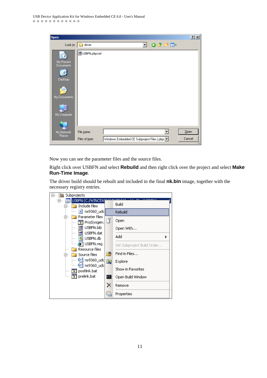| Open                                                             |                                                                 | 2 x    |
|------------------------------------------------------------------|-----------------------------------------------------------------|--------|
| Look in: $\vert$                                                 | $0$ $0$ $0$ $\Box$<br>driver<br>▾                               |        |
| My Recent<br>Documents<br>Desktop<br>My Documents<br>My Computer | ho USBFN.pbpxml                                                 |        |
| My Network                                                       | File name:                                                      | Qpen   |
| Places.                                                          | Files of type:<br>Windows Embedded CE Subproject Files (.pbp> V | Cancel |

Now you can see the parameter files and the source files.

Right click over USBFN and select **Rebuild** and then right click over the project and select **Make Run-Time Image**.

The driver build should be rebuilt and included in the final **nk.bin** image, together with the necessary registry entries.

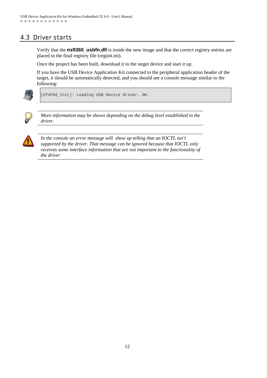# 4.3 Driver starts

Verify that the **ns9360\_usbfn.dll** is inside the new image and that the correct registry entries are placed in the final registry file (reginit.ini).

Once the project has been built, download it to the target device and start it up.

If you have the USB Device Application Kit connected to the peripheral application header of the target, it should be automatically detected, and you should see a console message similar to the following:



[UfnPdd\_Init]: Loading USB Device Driver… OK.



*More information may be shown depending on the debug level established in the driver.* 



*In the console an error message will show up telling that an IOCTL isn't supported by the driver. That message can be ignored because that IOCTL only receives some interface information that are not important to the functionality of the driver*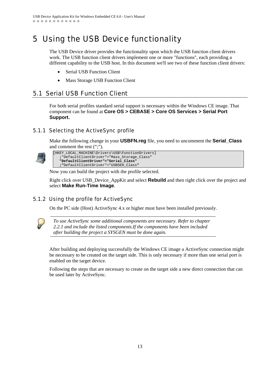# 5 Using the USB Device functionality

The USB Device driver provides the functionality upon which the USB function client drivers work. The USB function client drivers implement one or more "functions", each providing a different capability to the USB host. In this document we'll see two of these function client drivers:

- Serial USB Function Client
- Mass Storage USB Function Client

### 5.1 Serial USB Function Client

For both serial profiles standard serial support is necessary within the Windows CE image. That component can be found at **Core OS > CEBASE > Core OS Services > Serial Port Support.**

### 5.1.1 Selecting the ActiveSync profile

Make the following change in your **USBFN.reg** file, you need to uncomment the **Serial\_Class** and comment the rest (";").



[HKEY\_LOCAL\_MACHINE\Drivers\USB\FunctionDrivers] **;**"DefaultClientDriver"="Mass\_Storage\_Class" **"DefaultClientDriver"="Serial\_Class" ;"**DefaultClientDriver"="USBSER\_Class**"**

Now you can build the project with the profile selected.

Right click over USB\_Device\_AppKit and select **Rebuild** and then right click over the project and select **Make Run-Time Image**.

### 5.1.2 Using the profile for ActiveSync

On the PC side (Host) ActiveSync 4.x or higher must have been installed previously.



*To use ActiveSync some additional components are necessary. Refer to chapter 2.2.1 and include the listed components.If the components have been included after building the project a SYSGEN must be done again.* 

After building and deploying successfully the Windows CE image a ActiveSync connection might be necessary to be created on the target side. This is only necessary if more than one serial port is enabled on the target device.

Following the steps that are necessary to create on the target side a new direct connection that can be used later by ActiveSync.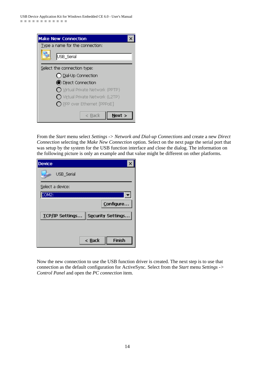| <b>Make New Connection</b>               |  |
|------------------------------------------|--|
| Type a name for the connection:          |  |
| USB_Serial                               |  |
| Select the connection type:              |  |
| $\bigcap$ Dial-Up Connection             |  |
| <b>O</b> Direct Connection               |  |
| $\bigcap$ Virtual Private Network (PPTP) |  |
| $\bigcap$ Virtual Private Network (L2TP) |  |
| $\bigcap$ PPP over Ethernet [PPPoE]      |  |
| Next ><br>$\leq$ Back                    |  |

From the *Start* menu select *Settings -> Network and Dial-up Connections* and create a new *Direct Connection* selecting the *Make New Connection* option. Select on the next page the serial port that was setup by the system for the USB function interface and close the dialog. The information on the following picture is only an example and that value might be different on other platforms.

| <b>Device</b>      |                                   |
|--------------------|-----------------------------------|
| USB_Serial         |                                   |
| Select a device:   |                                   |
| COM <sub>2</sub> : |                                   |
|                    | Configure                         |
|                    | TCP/IP Settings Security Settings |
|                    |                                   |
|                    |                                   |
|                    | $\leq$ <b>Back</b><br>Finish      |

Now the new connection to use the USB function driver is created. The next step is to use that connection as the default configuration for ActiveSync. Select from the *Start* menu *Settings -> Control Panel* and open the *PC connection* item.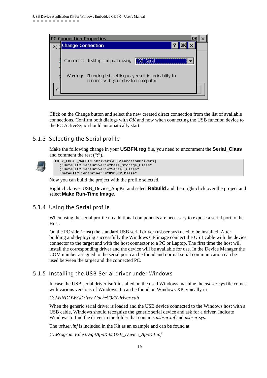

Click on the Change button and select the new created direct connection from the list of available connections. Confirm both dialogs with *OK* and now when connecting the USB function device to the PC ActiveSync should automatically start.

### 5.1.3 Selecting the Serial profile

Make the following change in your **USBFN.reg** file, you need to uncomment the **Serial\_Class** and comment the rest (";").



Now you can build the project with the profile selected.

Right click over USB\_Device\_AppKit and select **Rebuild** and then right click over the project and select **Make Run-Time Image**.

#### 5.1.4 Using the Serial profile

When using the serial profile no additional components are necessary to expose a serial port to the Host.

On the PC side (Host) the standard USB serial driver (usbser.sys) need to be installed. After building and deploying successfully the Windows CE image connect the USB cable with the device connector to the target and with the host connector to a PC or Laptop. The first time the host will install the corresponding driver and the device will be available for use. In the Device Manager the COM number assigned to the serial port can be found and normal serial communication can be used between the target and the connected PC.

#### 5.1.5 Installing the USB Serial driver under Windows

In case the USB serial driver isn't installed on the used Windows machine the *usbser.sys* file comes with various versions of Windows. It can be found on Windows XP typically in

*C:\WINDOWS\Driver Cache\i386\driver.cab* 

When the generic serial driver is loaded and the USB device connected to the Windows host with a USB cable, Windows should recognize the generic serial device and ask for a driver. Indicate Windows to find the driver in the folder that contains *usbser.inf* and *usbser.sy*s.

The *usbser.inf* is included in the Kit as an example and can be found at

*C:\Program Files\Digi\AppKits\USB\_Device\_AppKit\inf*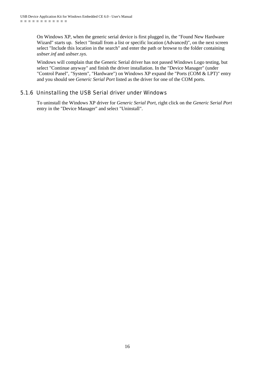On Windows XP, when the generic serial device is first plugged in, the "Found New Hardware Wizard" starts up. Select "Install from a list or specific location (Advanced)", on the next screen select "Include this location in the search" and enter the path or browse to the folder containing *usbser.inf* and *usbser.sys*.

Windows will complain that the Generic Serial driver has not passed Windows Logo testing, but select "Continue anyway" and finish the driver installation. In the "Device Manager" (under "Control Panel", "System", "Hardware") on Windows XP expand the "Ports (COM & LPT)" entry and you should see *Generic Serial Port* listed as the driver for one of the COM ports.

### 5.1.6 Uninstalling the USB Serial driver under Windows

To uninstall the Windows XP driver for *Generic Serial Port*, right click on the *Generic Serial Port* entry in the "Device Manager" and select "Uninstall".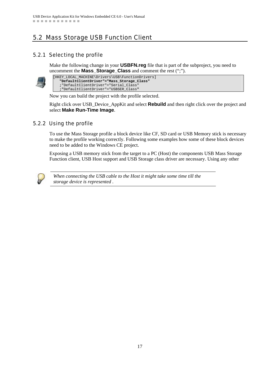# 5.2 Mass Storage USB Function Client

### 5.2.1 Selecting the profile

Make the following change in your **USBFN.reg** file that is part of the subproject, you need to uncomment the **Mass\_Storage\_Class** and comment the rest (";").



| [HKEY LOCAL MACHINE\Drivers\USB\FunctionDrivers] |  |  |
|--------------------------------------------------|--|--|
| "DefaultClientDriver"="Mass Storage Class"       |  |  |
| :"DefaultClientDriver"="Serial Class"            |  |  |
| ; "DefaultClientDriver"="USBSER_Class"           |  |  |

Now you can build the project with the profile selected.

Right click over USB\_Device\_AppKit and select **Rebuild** and then right click over the project and select **Make Run-Time Image**.

### 5.2.2 Using the profile

To use the Mass Storage profile a block device like CF, SD card or USB Memory stick is necessary to make the profile working correctly. Following some examples how some of these block devices need to be added to the Windows CE project.

Exposing a USB memory stick from the target to a PC (Host) the components USB Mass Storage Function client, USB Host support and USB Storage class driver are necessary. Using any other



*When connecting the USB cable to the Host it might take some time till the storage device is represented .*